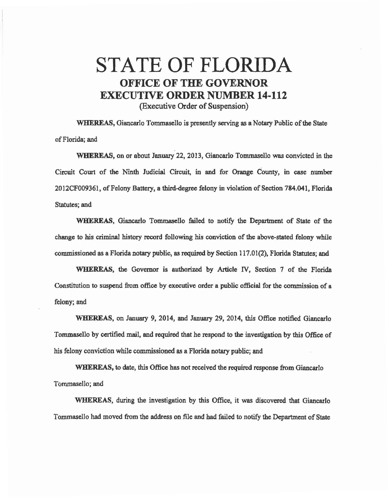## STATE OF FLORIDA OFFICE OF THE GOVERNOR EXECUTIVE ORDER NUMBER 14-112 (Executive Order of Suspension)

WHEREAS, Giancarlo Tommasello is presently serving as a Notary Public of the State of Florida; and

WHEREAS, on or about January 22, 2013, Giancarlo Tommasello was convicted in the Circuit Court of the Ninth Judicial Circuit, in and for Orange County, in case number 2012CF009361, of Felony Battery, a third-degree felony in violation of Section 784.041, Florida Statutes; and

WHEREAS, Giancarlo Tomrnasello failed to notify the Department of State of the change to bis criminaJ history record following his conviction of the above-stated felony while commissioned as a Florida notary public, as required by Section 117.01(2), Florida Statutes; and

WHEREAS, the Governor is authorized by Article IV, Section 7 of the Florida Constitution to suspend from office by executive order a public official for the commission of a felony; and

WHEREAS, on January 9, 2014, and January 29, 2014, this Office notified Giancarlo Tommasello by certified mail, and required that he respond to the investigation by this Office of his felony conviction while commissioned as a Florida notary public; and

WHEREAS, to date, this Office has not received the required response from Giancarlo Tommasello; and

WHEREAS, during the investigation by this Office, it was discovered that Giancarlo Tommasello had moved from the address on file and had failed to notify the Department of State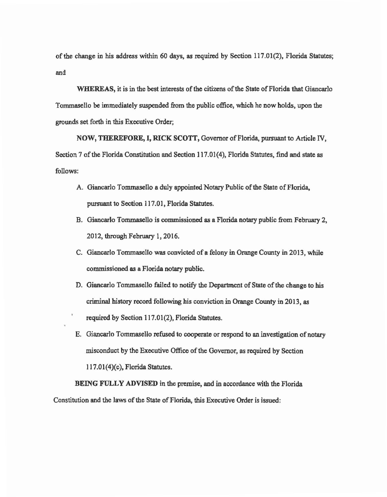of the change in his address within 60 days, as required by Section 117.01(2), Florida Statutes; and

WHEREAS, it is in the best interests of the citizens of the State of Florida that Giancarlo Tommasello be immediately suspended from the public office, which he now holds, upon the grounds set forth in this Executive Order;

NOW, THEREFORE, I, RICK SCOTT, Governor of Florida. pursuant to Article IV, Section 7 of the Florida Constitution and Section 117.01(4), Florida Statutes, fmd and state *as*  follows:

- A. Giancarlo Tommasello a duly appointed Notary Public of the State of Florida, pursuant to Section 117.01, Florida Statutes.
- B. Giancarlo Tommasello is commissioned as a Florida notary public from February 2, 2012, through February 1, 2016.
- C. Giancarlo Tommasello was convicted of a felony in Orange County in 2013, while commissioned *as* a Florida notary public.
- D. Giancarlo Tommasello failed to notify the Department of State of the change to his criminal history record following his conviction in Orange County in 2013, as required by Section 117.01(2), Florida Statutes.
- E. Giancarlo Tommasello refused to cooperate or respond to an investigation of notary misconduct by the Executive Office of the Governor, as required by Section l l 7.01(4)(c), Florida Statutes.

BEING FULLY ADVISED in the premise, and in accordance with the Florida Constitution and the laws of the State of Florida, this Executive Order is issued: